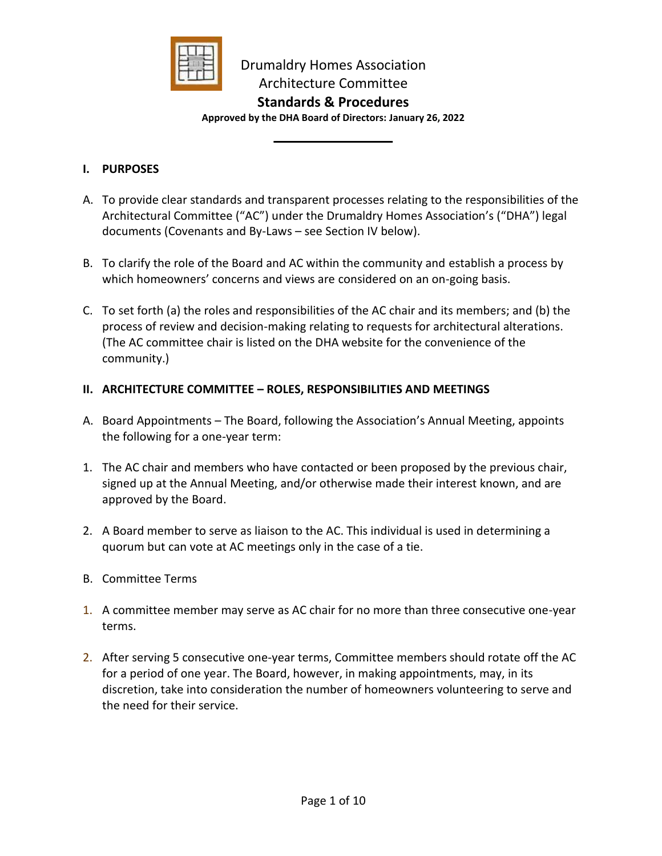

# **Standards & Procedures**

**Approved by the DHA Board of Directors: January 26, 2022**

#### **I. PURPOSES**

- A. To provide clear standards and transparent processes relating to the responsibilities of the Architectural Committee ("AC") under the Drumaldry Homes Association's ("DHA") legal documents (Covenants and By-Laws – see Section IV below).
- B. To clarify the role of the Board and AC within the community and establish a process by which homeowners' concerns and views are considered on an on-going basis.
- C. To set forth (a) the roles and responsibilities of the AC chair and its members; and (b) the process of review and decision-making relating to requests for architectural alterations. (The AC committee chair is listed on the DHA website for the convenience of the community.)

# **II. ARCHITECTURE COMMITTEE – ROLES, RESPONSIBILITIES AND MEETINGS**

- A. Board Appointments The Board, following the Association's Annual Meeting, appoints the following for a one-year term:
- 1. The AC chair and members who have contacted or been proposed by the previous chair, signed up at the Annual Meeting, and/or otherwise made their interest known, and are approved by the Board.
- 2. A Board member to serve as liaison to the AC. This individual is used in determining a quorum but can vote at AC meetings only in the case of a tie.
- B. Committee Terms
- 1. A committee member may serve as AC chair for no more than three consecutive one-year terms.
- 2. After serving 5 consecutive one-year terms, Committee members should rotate off the AC for a period of one year. The Board, however, in making appointments, may, in its discretion, take into consideration the number of homeowners volunteering to serve and the need for their service.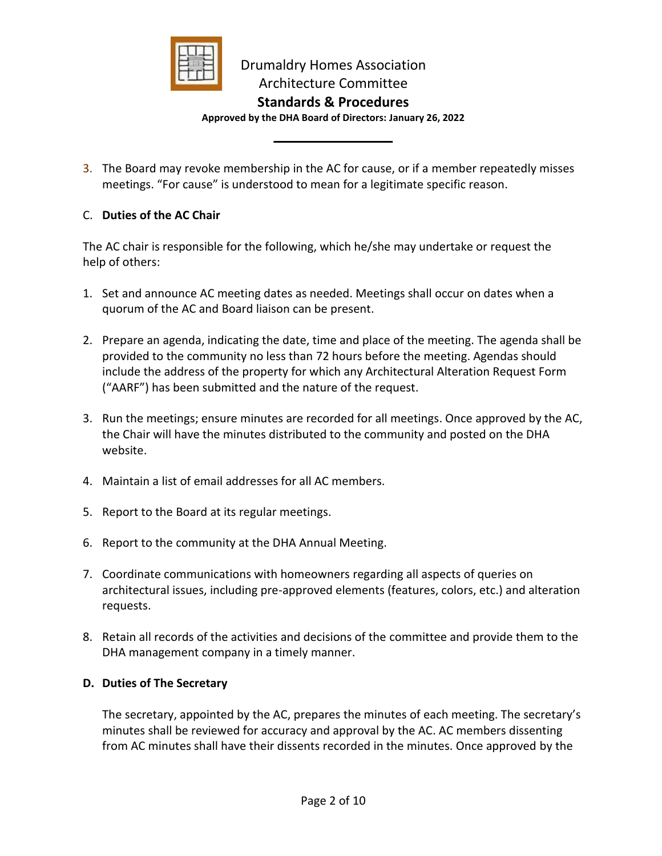

### **Standards & Procedures**

**Approved by the DHA Board of Directors: January 26, 2022**

3. The Board may revoke membership in the AC for cause, or if a member repeatedly misses meetings. "For cause" is understood to mean for a legitimate specific reason.

# C. **Duties of the AC Chair**

The AC chair is responsible for the following, which he/she may undertake or request the help of others:

- 1. Set and announce AC meeting dates as needed. Meetings shall occur on dates when a quorum of the AC and Board liaison can be present.
- 2. Prepare an agenda, indicating the date, time and place of the meeting. The agenda shall be provided to the community no less than 72 hours before the meeting. Agendas should include the address of the property for which any Architectural Alteration Request Form ("AARF") has been submitted and the nature of the request.
- 3. Run the meetings; ensure minutes are recorded for all meetings. Once approved by the AC, the Chair will have the minutes distributed to the community and posted on the DHA website.
- 4. Maintain a list of email addresses for all AC members.
- 5. Report to the Board at its regular meetings.
- 6. Report to the community at the DHA Annual Meeting.
- 7. Coordinate communications with homeowners regarding all aspects of queries on architectural issues, including pre-approved elements (features, colors, etc.) and alteration requests.
- 8. Retain all records of the activities and decisions of the committee and provide them to the DHA management company in a timely manner.

#### **D. Duties of The Secretary**

The secretary, appointed by the AC, prepares the minutes of each meeting. The secretary's minutes shall be reviewed for accuracy and approval by the AC. AC members dissenting from AC minutes shall have their dissents recorded in the minutes. Once approved by the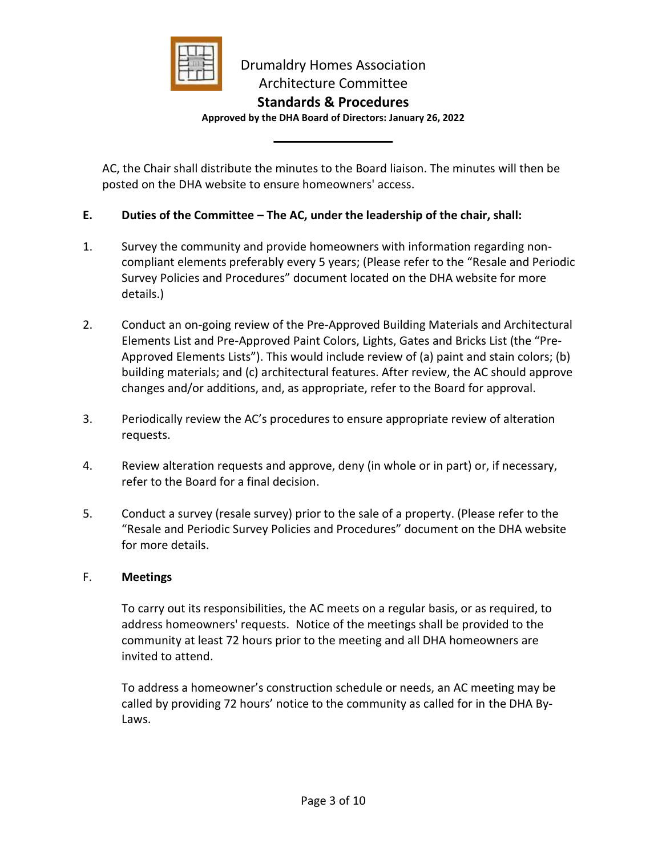

**Standards & Procedures**

**Approved by the DHA Board of Directors: January 26, 2022**

AC, the Chair shall distribute the minutes to the Board liaison. The minutes will then be posted on the DHA website to ensure homeowners' access.

#### **E. Duties of the Committee – The AC, under the leadership of the chair, shall:**

- 1. Survey the community and provide homeowners with information regarding noncompliant elements preferably every 5 years; (Please refer to the "Resale and Periodic Survey Policies and Procedures" document located on the DHA website for more details.)
- 2. Conduct an on-going review of the Pre-Approved Building Materials and Architectural Elements List and Pre-Approved Paint Colors, Lights, Gates and Bricks List (the "Pre-Approved Elements Lists"). This would include review of (a) paint and stain colors; (b) building materials; and (c) architectural features. After review, the AC should approve changes and/or additions, and, as appropriate, refer to the Board for approval.
- 3. Periodically review the AC's procedures to ensure appropriate review of alteration requests.
- 4. Review alteration requests and approve, deny (in whole or in part) or, if necessary, refer to the Board for a final decision.
- 5. Conduct a survey (resale survey) prior to the sale of a property. (Please refer to the "Resale and Periodic Survey Policies and Procedures" document on the DHA website for more details.

#### F. **Meetings**

To carry out its responsibilities, the AC meets on a regular basis, or as required, to address homeowners' requests. Notice of the meetings shall be provided to the community at least 72 hours prior to the meeting and all DHA homeowners are invited to attend.

To address a homeowner's construction schedule or needs, an AC meeting may be called by providing 72 hours' notice to the community as called for in the DHA By-Laws.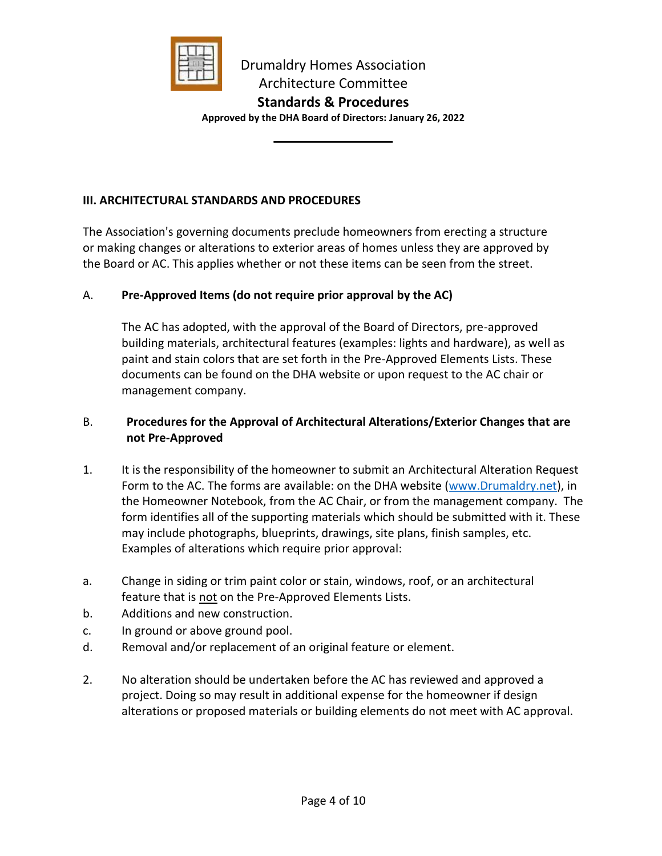

**Approved by the DHA Board of Directors: January 26, 2022**

#### **III. ARCHITECTURAL STANDARDS AND PROCEDURES**

The Association's governing documents preclude homeowners from erecting a structure or making changes or alterations to exterior areas of homes unless they are approved by the Board or AC. This applies whether or not these items can be seen from the street.

# A. **Pre-Approved Items (do not require prior approval by the AC)**

The AC has adopted, with the approval of the Board of Directors, pre-approved building materials, architectural features (examples: lights and hardware), as well as paint and stain colors that are set forth in the Pre-Approved Elements Lists. These documents can be found on the DHA website or upon request to the AC chair or management company.

#### B. **Procedures for the Approval of Architectural Alterations/Exterior Changes that are not Pre-Approved**

- 1. It is the responsibility of the homeowner to submit an Architectural Alteration Request Form to the AC. The forms are available: on the DHA website [\(www.Drumaldry.net\)](http://www.drumaldry.net/), in the Homeowner Notebook, from the AC Chair, or from the management company. The form identifies all of the supporting materials which should be submitted with it. These may include photographs, blueprints, drawings, site plans, finish samples, etc. Examples of alterations which require prior approval:
- a. Change in siding or trim paint color or stain, windows, roof, or an architectural feature that is not on the Pre-Approved Elements Lists.
- b. Additions and new construction.
- c. In ground or above ground pool.
- d. Removal and/or replacement of an original feature or element.
- 2. No alteration should be undertaken before the AC has reviewed and approved a project. Doing so may result in additional expense for the homeowner if design alterations or proposed materials or building elements do not meet with AC approval.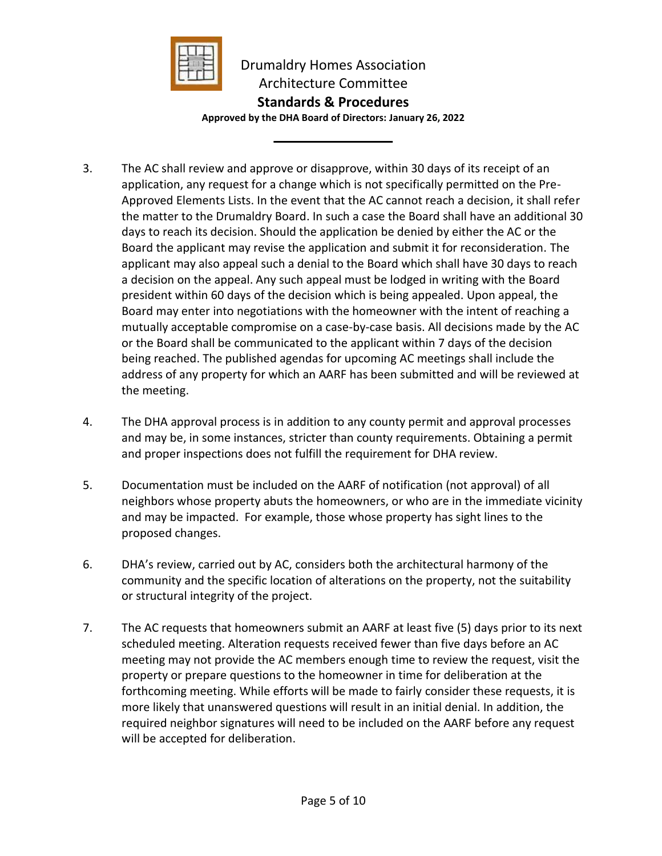

**Approved by the DHA Board of Directors: January 26, 2022**

- 3. The AC shall review and approve or disapprove, within 30 days of its receipt of an application, any request for a change which is not specifically permitted on the Pre-Approved Elements Lists. In the event that the AC cannot reach a decision, it shall refer the matter to the Drumaldry Board. In such a case the Board shall have an additional 30 days to reach its decision. Should the application be denied by either the AC or the Board the applicant may revise the application and submit it for reconsideration. The applicant may also appeal such a denial to the Board which shall have 30 days to reach a decision on the appeal. Any such appeal must be lodged in writing with the Board president within 60 days of the decision which is being appealed. Upon appeal, the Board may enter into negotiations with the homeowner with the intent of reaching a mutually acceptable compromise on a case-by-case basis. All decisions made by the AC or the Board shall be communicated to the applicant within 7 days of the decision being reached. The published agendas for upcoming AC meetings shall include the address of any property for which an AARF has been submitted and will be reviewed at the meeting.
- 4. The DHA approval process is in addition to any county permit and approval processes and may be, in some instances, stricter than county requirements. Obtaining a permit and proper inspections does not fulfill the requirement for DHA review.
- 5. Documentation must be included on the AARF of notification (not approval) of all neighbors whose property abuts the homeowners, or who are in the immediate vicinity and may be impacted. For example, those whose property has sight lines to the proposed changes.
- 6. DHA's review, carried out by AC, considers both the architectural harmony of the community and the specific location of alterations on the property, not the suitability or structural integrity of the project.
- 7. The AC requests that homeowners submit an AARF at least five (5) days prior to its next scheduled meeting. Alteration requests received fewer than five days before an AC meeting may not provide the AC members enough time to review the request, visit the property or prepare questions to the homeowner in time for deliberation at the forthcoming meeting. While efforts will be made to fairly consider these requests, it is more likely that unanswered questions will result in an initial denial. In addition, the required neighbor signatures will need to be included on the AARF before any request will be accepted for deliberation.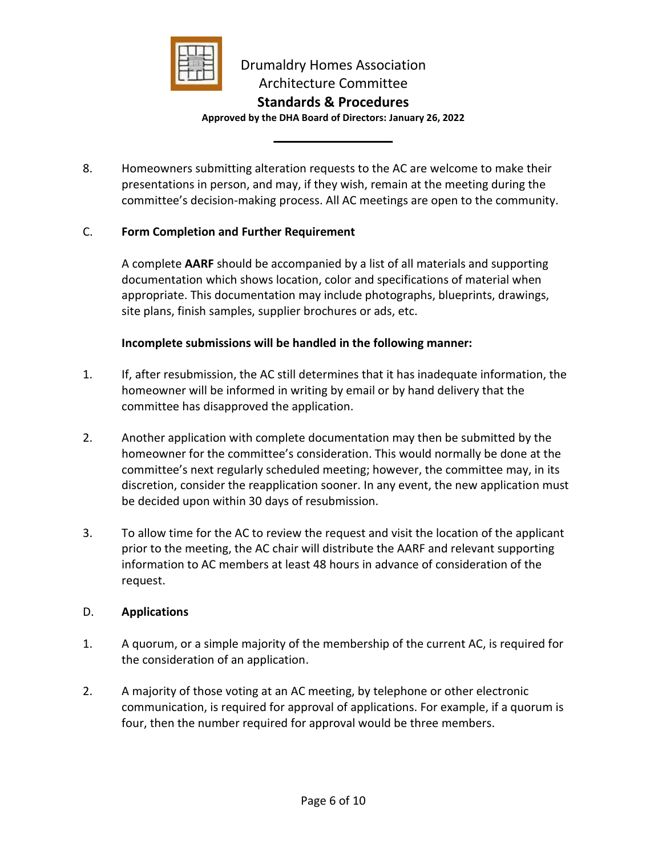

**Approved by the DHA Board of Directors: January 26, 2022**

8. Homeowners submitting alteration requests to the AC are welcome to make their presentations in person, and may, if they wish, remain at the meeting during the committee's decision-making process. All AC meetings are open to the community.

#### C. **Form Completion and Further Requirement**

A complete **AARF** should be accompanied by a list of all materials and supporting documentation which shows location, color and specifications of material when appropriate. This documentation may include photographs, blueprints, drawings, site plans, finish samples, supplier brochures or ads, etc.

#### **Incomplete submissions will be handled in the following manner:**

- 1. If, after resubmission, the AC still determines that it has inadequate information, the homeowner will be informed in writing by email or by hand delivery that the committee has disapproved the application.
- 2. Another application with complete documentation may then be submitted by the homeowner for the committee's consideration. This would normally be done at the committee's next regularly scheduled meeting; however, the committee may, in its discretion, consider the reapplication sooner. In any event, the new application must be decided upon within 30 days of resubmission.
- 3. To allow time for the AC to review the request and visit the location of the applicant prior to the meeting, the AC chair will distribute the AARF and relevant supporting information to AC members at least 48 hours in advance of consideration of the request.

#### D. **Applications**

- 1. A quorum, or a simple majority of the membership of the current AC, is required for the consideration of an application.
- 2. A majority of those voting at an AC meeting, by telephone or other electronic communication, is required for approval of applications. For example, if a quorum is four, then the number required for approval would be three members.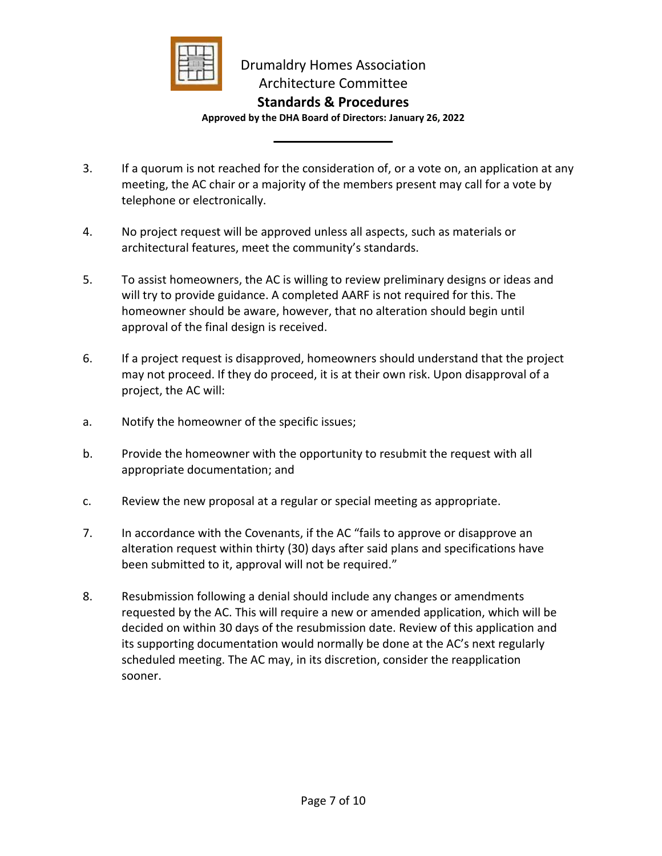

### **Standards & Procedures**

**Approved by the DHA Board of Directors: January 26, 2022**

- 3. If a quorum is not reached for the consideration of, or a vote on, an application at any meeting, the AC chair or a majority of the members present may call for a vote by telephone or electronically.
- 4. No project request will be approved unless all aspects, such as materials or architectural features, meet the community's standards.
- 5. To assist homeowners, the AC is willing to review preliminary designs or ideas and will try to provide guidance. A completed AARF is not required for this. The homeowner should be aware, however, that no alteration should begin until approval of the final design is received.
- 6. If a project request is disapproved, homeowners should understand that the project may not proceed. If they do proceed, it is at their own risk. Upon disapproval of a project, the AC will:
- a. Notify the homeowner of the specific issues;
- b. Provide the homeowner with the opportunity to resubmit the request with all appropriate documentation; and
- c. Review the new proposal at a regular or special meeting as appropriate.
- 7. In accordance with the Covenants, if the AC "fails to approve or disapprove an alteration request within thirty (30) days after said plans and specifications have been submitted to it, approval will not be required."
- 8. Resubmission following a denial should include any changes or amendments requested by the AC. This will require a new or amended application, which will be decided on within 30 days of the resubmission date. Review of this application and its supporting documentation would normally be done at the AC's next regularly scheduled meeting. The AC may, in its discretion, consider the reapplication sooner.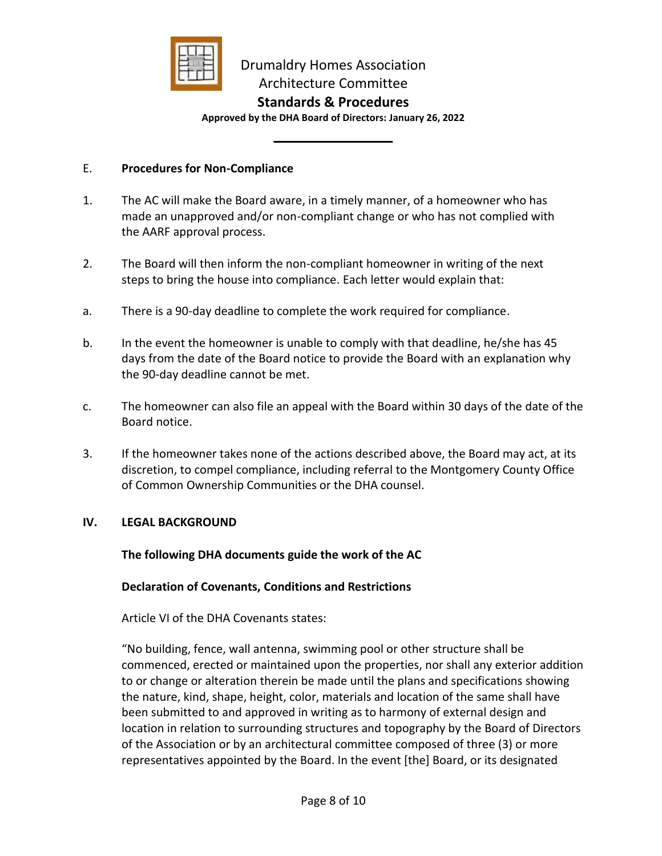

#### **Standards & Procedures**

**Approved by the DHA Board of Directors: January 26, 2022**

#### E. **Procedures for Non-Compliance**

- 1. The AC will make the Board aware, in a timely manner, of a homeowner who has made an unapproved and/or non-compliant change or who has not complied with the AARF approval process.
- 2. The Board will then inform the non-compliant homeowner in writing of the next steps to bring the house into compliance. Each letter would explain that:
- a. There is a 90-day deadline to complete the work required for compliance.
- b. In the event the homeowner is unable to comply with that deadline, he/she has 45 days from the date of the Board notice to provide the Board with an explanation why the 90-day deadline cannot be met.
- c. The homeowner can also file an appeal with the Board within 30 days of the date of the Board notice.
- 3. If the homeowner takes none of the actions described above, the Board may act, at its discretion, to compel compliance, including referral to the Montgomery County Office of Common Ownership Communities or the DHA counsel.

#### **IV. LEGAL BACKGROUND**

**The following DHA documents guide the work of the AC**

#### **Declaration of Covenants, Conditions and Restrictions**

Article VI of the DHA Covenants states:

"No building, fence, wall antenna, swimming pool or other structure shall be commenced, erected or maintained upon the properties, nor shall any exterior addition to or change or alteration therein be made until the plans and specifications showing the nature, kind, shape, height, color, materials and location of the same shall have been submitted to and approved in writing as to harmony of external design and location in relation to surrounding structures and topography by the Board of Directors of the Association or by an architectural committee composed of three (3) or more representatives appointed by the Board. In the event [the] Board, or its designated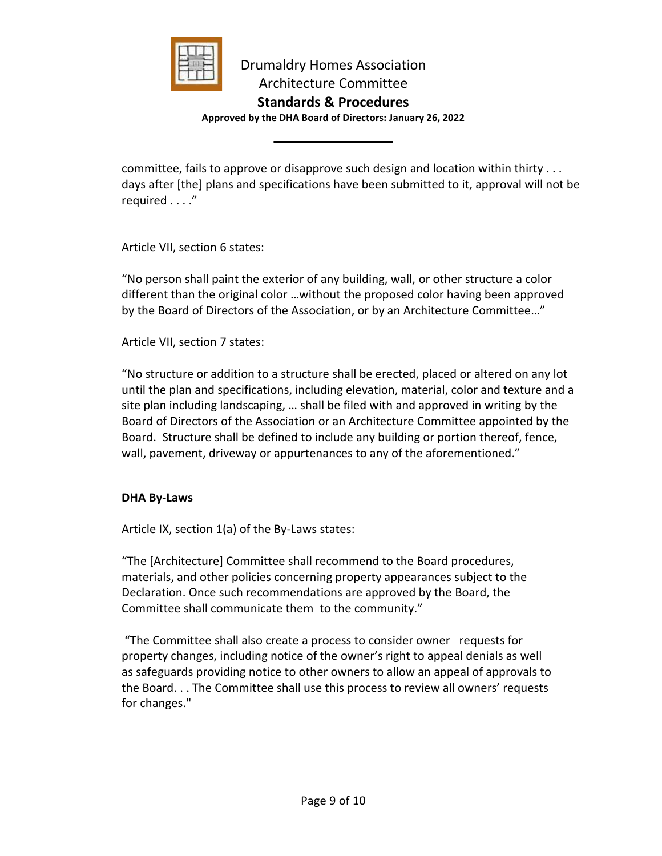

**Approved by the DHA Board of Directors: January 26, 2022**

committee, fails to approve or disapprove such design and location within thirty . . . days after [the] plans and specifications have been submitted to it, approval will not be required . . . ."

Article VII, section 6 states:

"No person shall paint the exterior of any building, wall, or other structure a color different than the original color …without the proposed color having been approved by the Board of Directors of the Association, or by an Architecture Committee…"

Article VII, section 7 states:

"No structure or addition to a structure shall be erected, placed or altered on any lot until the plan and specifications, including elevation, material, color and texture and a site plan including landscaping, … shall be filed with and approved in writing by the Board of Directors of the Association or an Architecture Committee appointed by the Board. Structure shall be defined to include any building or portion thereof, fence, wall, pavement, driveway or appurtenances to any of the aforementioned."

#### **DHA By-Laws**

Article IX, section 1(a) of the By-Laws states:

"The [Architecture] Committee shall recommend to the Board procedures, materials, and other policies concerning property appearances subject to the Declaration. Once such recommendations are approved by the Board, the Committee shall communicate them to the community."

"The Committee shall also create a process to consider owner requests for property changes, including notice of the owner's right to appeal denials as well as safeguards providing notice to other owners to allow an appeal of approvals to the Board. . . The Committee shall use this process to review all owners' requests for changes."